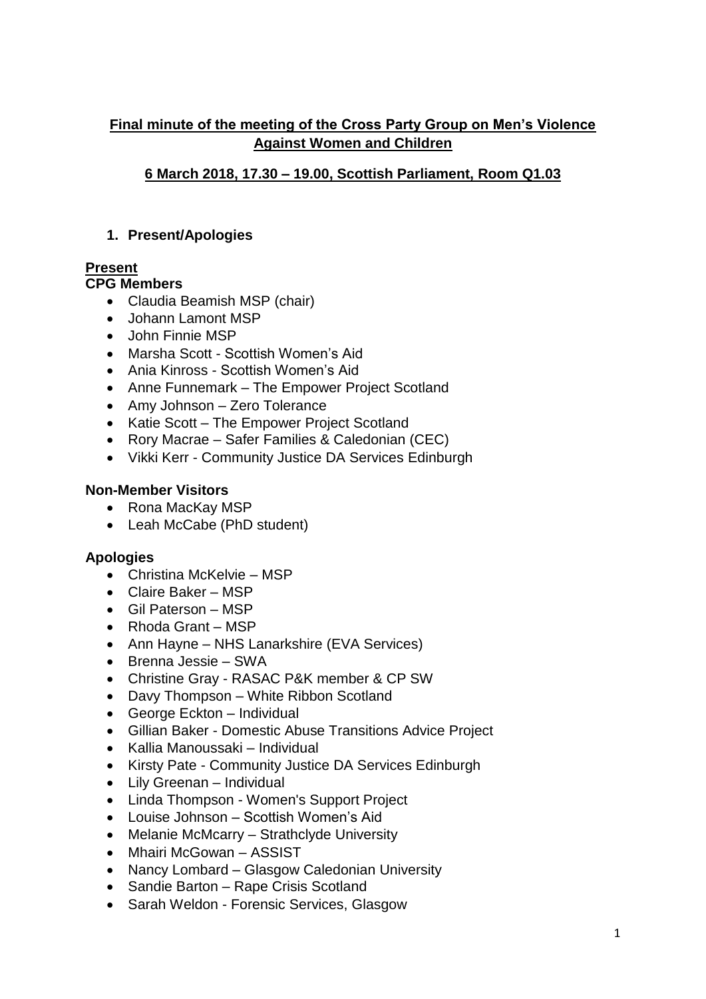# **Final minute of the meeting of the Cross Party Group on Men's Violence Against Women and Children**

# **6 March 2018, 17.30 – 19.00, Scottish Parliament, Room Q1.03**

## **1. Present/Apologies**

# **Present**

## **CPG Members**

- Claudia Beamish MSP (chair)
- Johann Lamont MSP
- John Finnie MSP
- Marsha Scott Scottish Women's Aid
- Ania Kinross Scottish Women's Aid
- Anne Funnemark The Empower Project Scotland
- Amy Johnson Zero Tolerance
- Katie Scott The Empower Project Scotland
- Rory Macrae Safer Families & Caledonian (CEC)
- Vikki Kerr Community Justice DA Services Edinburgh

## **Non-Member Visitors**

- Rona MacKay MSP
- Leah McCabe (PhD student)

### **Apologies**

- Christina McKelvie MSP
- Claire Baker MSP
- Gil Paterson MSP
- Rhoda Grant MSP
- Ann Hayne NHS Lanarkshire (EVA Services)
- Brenna Jessie SWA
- Christine Gray RASAC P&K member & CP SW
- Davy Thompson White Ribbon Scotland
- George Eckton Individual
- Gillian Baker Domestic Abuse Transitions Advice Project
- Kallia Manoussaki Individual
- Kirsty Pate Community Justice DA Services Edinburgh
- Lily Greenan Individual
- Linda Thompson Women's Support Project
- Louise Johnson Scottish Women's Aid
- Melanie McMcarry Strathclyde University
- Mhairi McGowan ASSIST
- Nancy Lombard Glasgow Caledonian University
- Sandie Barton Rape Crisis Scotland
- Sarah Weldon Forensic Services, Glasgow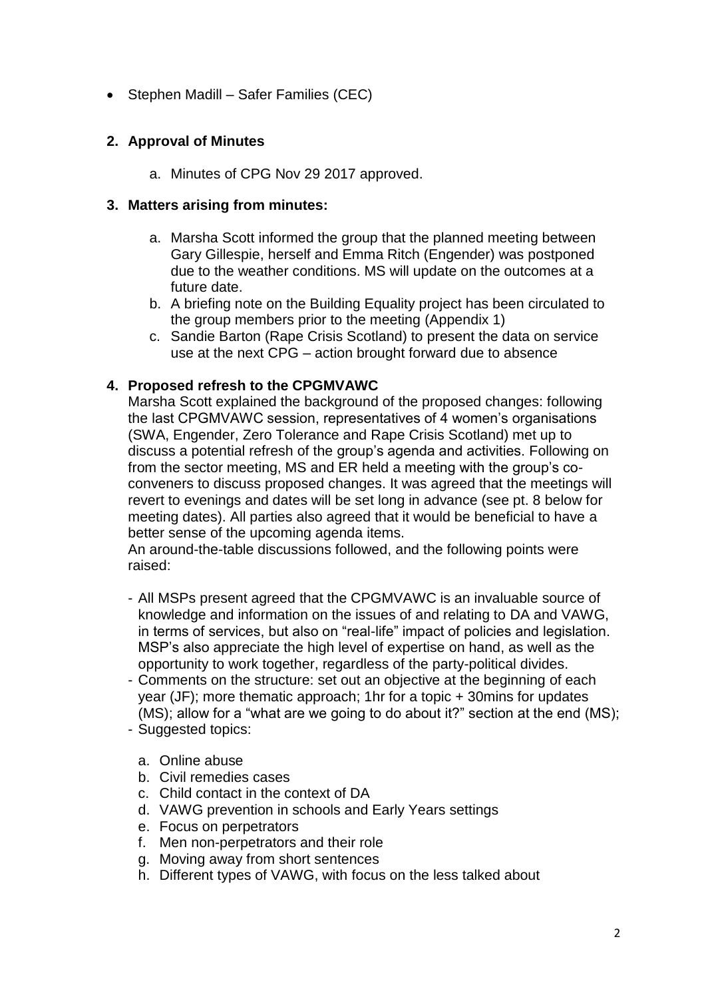• Stephen Madill – Safer Families (CEC)

## **2. Approval of Minutes**

a. Minutes of CPG Nov 29 2017 approved.

### **3. Matters arising from minutes:**

- a. Marsha Scott informed the group that the planned meeting between Gary Gillespie, herself and Emma Ritch (Engender) was postponed due to the weather conditions. MS will update on the outcomes at a future date.
- b. A briefing note on the Building Equality project has been circulated to the group members prior to the meeting (Appendix 1)
- c. Sandie Barton (Rape Crisis Scotland) to present the data on service use at the next CPG – action brought forward due to absence

### **4. Proposed refresh to the CPGMVAWC**

Marsha Scott explained the background of the proposed changes: following the last CPGMVAWC session, representatives of 4 women's organisations (SWA, Engender, Zero Tolerance and Rape Crisis Scotland) met up to discuss a potential refresh of the group's agenda and activities. Following on from the sector meeting, MS and ER held a meeting with the group's coconveners to discuss proposed changes. It was agreed that the meetings will revert to evenings and dates will be set long in advance (see pt. 8 below for meeting dates). All parties also agreed that it would be beneficial to have a better sense of the upcoming agenda items.

An around-the-table discussions followed, and the following points were raised:

- All MSPs present agreed that the CPGMVAWC is an invaluable source of knowledge and information on the issues of and relating to DA and VAWG, in terms of services, but also on "real-life" impact of policies and legislation. MSP's also appreciate the high level of expertise on hand, as well as the opportunity to work together, regardless of the party-political divides.
- Comments on the structure: set out an objective at the beginning of each year (JF); more thematic approach; 1hr for a topic + 30mins for updates (MS); allow for a "what are we going to do about it?" section at the end (MS);
- Suggested topics:
	- a. Online abuse
	- b. Civil remedies cases
	- c. Child contact in the context of DA
	- d. VAWG prevention in schools and Early Years settings
	- e. Focus on perpetrators
	- f. Men non-perpetrators and their role
	- g. Moving away from short sentences
	- h. Different types of VAWG, with focus on the less talked about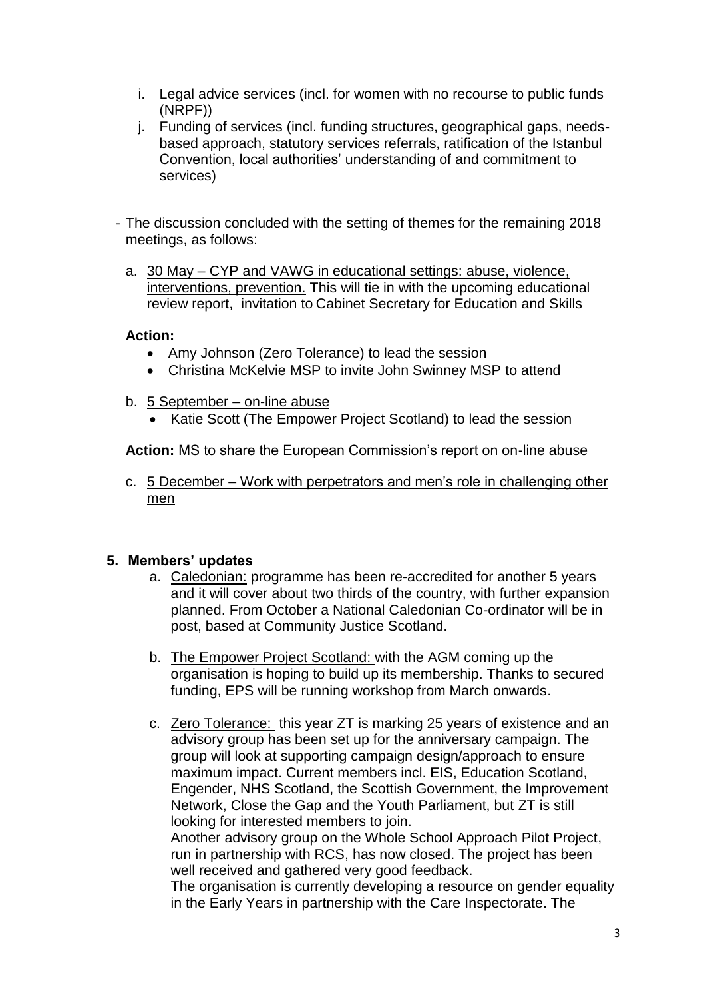- i. Legal advice services (incl. for women with no recourse to public funds (NRPF))
- j. Funding of services (incl. funding structures, geographical gaps, needsbased approach, statutory services referrals, ratification of the Istanbul Convention, local authorities' understanding of and commitment to services)
- The discussion concluded with the setting of themes for the remaining 2018 meetings, as follows:
	- a. 30 May CYP and VAWG in educational settings: abuse, violence, interventions, prevention. This will tie in with the upcoming educational review report, invitation to Cabinet Secretary for Education and Skills

#### **Action:**

- Amy Johnson (Zero Tolerance) to lead the session
- Christina McKelvie MSP to invite John Swinney MSP to attend
- b. 5 September on-line abuse
	- Katie Scott (The Empower Project Scotland) to lead the session

**Action:** MS to share the European Commission's report on on-line abuse

c. 5 December – Work with perpetrators and men's role in challenging other men

### **5. Members' updates**

- a. Caledonian: programme has been re-accredited for another 5 years and it will cover about two thirds of the country, with further expansion planned. From October a National Caledonian Co-ordinator will be in post, based at Community Justice Scotland.
- b. The Empower Project Scotland: with the AGM coming up the organisation is hoping to build up its membership. Thanks to secured funding, EPS will be running workshop from March onwards.
- c. Zero Tolerance: this year ZT is marking 25 years of existence and an advisory group has been set up for the anniversary campaign. The group will look at supporting campaign design/approach to ensure maximum impact. Current members incl. EIS, Education Scotland, Engender, NHS Scotland, the Scottish Government, the Improvement Network, Close the Gap and the Youth Parliament, but ZT is still looking for interested members to join.

Another advisory group on the Whole School Approach Pilot Project, run in partnership with RCS, has now closed. The project has been well received and gathered very good feedback.

The organisation is currently developing a resource on gender equality in the Early Years in partnership with the Care Inspectorate. The